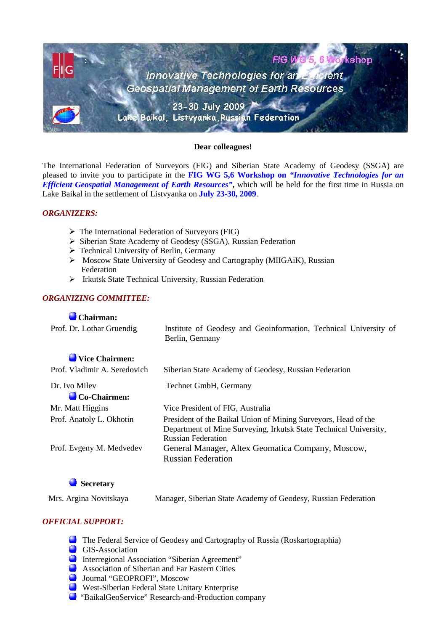

#### **Dear colleagues!**

The International Federation of Surveyors (FIG) and Siberian State Academy of Geodesy (SSGA) are pleased to invite you to participate in the **FIG WG 5,6 Workshop on** *"Innovative Technologies for an Efficient Geospatial Management of Earth Resources"***,** which will be held for the first time in Russia on Lake Baikal in the settlement of Listvyanka on **July 23-30, 2009**.

### *ORGANIZERS:*

- $\triangleright$  The International Federation of Surveyors (FIG)
- Siberian State Academy of Geodesy (SSGA), Russian Federation
- Technical University of Berlin, Germany
- $\triangleright$  Moscow State University of Geodesy and Cartography (MIIGAiK), Russian Federation
- Irkutsk State Technical University, Russian Federation

## *ORGANIZING COMMITTEE:*

#### **Chairman:**

| Prof. Dr. Lothar Gruendig                | Institute of Geodesy and Geoinformation, Technical University of<br>Berlin, Germany                                                                              |
|------------------------------------------|------------------------------------------------------------------------------------------------------------------------------------------------------------------|
| Vice Chairmen:                           |                                                                                                                                                                  |
| Prof. Vladimir A. Seredovich             | Siberian State Academy of Geodesy, Russian Federation                                                                                                            |
| Dr. Ivo Milev<br>$\bigcirc$ Co-Chairmen: | Technet GmbH, Germany                                                                                                                                            |
| Mr. Matt Higgins                         | Vice President of FIG, Australia                                                                                                                                 |
| Prof. Anatoly L. Okhotin                 | President of the Baikal Union of Mining Surveyors, Head of the<br>Department of Mine Surveying, Irkutsk State Technical University,<br><b>Russian Federation</b> |
| Prof. Evgeny M. Medvedev                 | General Manager, Altex Geomatica Company, Moscow,<br><b>Russian Federation</b>                                                                                   |

**Secretarу**

Mrs. Argina Novitskaya Manager, Siberian State Academy of Geodesy, Russian Federation

## *OFFICIAL SUPPORT:*

- The Federal Service of Geodesy and Cartography of Russia (Roskartographia)
- GIS-Association
- Interregional Association "Siberian Agreement"
- **Association of Siberian and Far Eastern Cities**
- Journal "GEOPROFI", Moscow
- West-Siberian Federal State Unitary Enterprise
- "BaikalGeoService" Research-and-Production company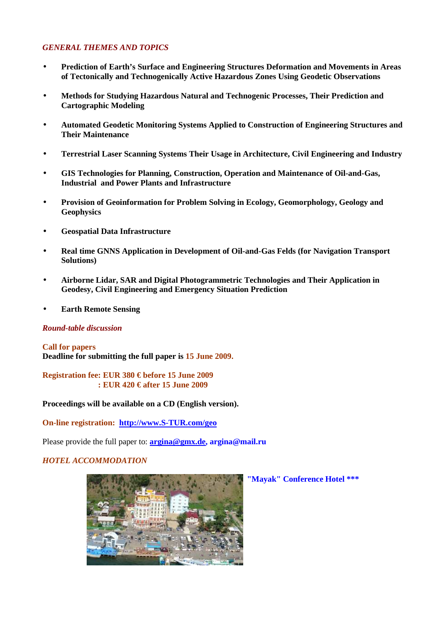### *GENERAL THEMES AND TOPICS*

- **Prediction of Earth's Surface and Engineering Structures Deformation and Movements in Areas of Tectonically and Technogenically Active Hazardous Zones Using Geodetic Observations**
- **Methods for Studying Hazardous Natural and Technogenic Processes, Their Prediction and Cartographic Modeling**
- **Automated Geodetic Monitoring Systems Applied to Construction of Engineering Structures and Their Maintenance**
- **Terrestrial Laser Scanning Systems Their Usage in Architecture, Civil Engineering and Industry**
- **GIS Technologies for Planning, Construction, Operation and Maintenance of Oil-and-Gas, Industrial and Power Plants and Infrastructure**
- **Provision of Geoinformation for Problem Solving in Ecology, Geomorphology, Geology and Geophysics**
- **Geospatial Data Infrastructure**
- **Real time GNNS Application in Development of Oil-and-Gas Felds (for Navigation Transport Solutions)**
- **Airborne Lidar, SAR and Digital Photogrammetric Technologies and Their Application in Geodesy, Civil Engineering and Emergency Situation Prediction**
- **Earth Remote Sensing**

#### *Round-table discussion*

**Call for papers Deadline for submitting the full paper is 15 June 2009.**

**Registration fee: EUR 380 € before 15 June 2009 : EUR 420 € after 15 June 2009**

**Proceedings will be available on a CD (English version).**

**On-line registration: http://www.S-TUR.com/geo**

Please provide the full paper to: **argina@gmx.de, argina@mail.ru**

#### *HOTEL ACCOMMODATION*



 **"Mayak" Conference Hotel \*\*\***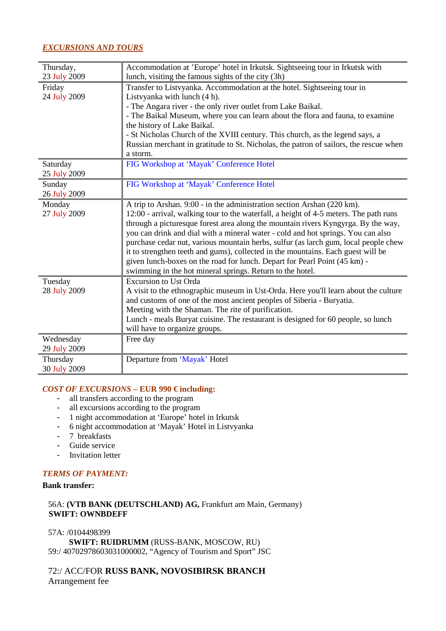### *EXCURSIONS AND TOURS*

| Thursday,    | Accommodation at 'Europe' hotel in Irkutsk. Sightseeing tour in Irkutsk with                      |
|--------------|---------------------------------------------------------------------------------------------------|
| 23 July 2009 | lunch, visiting the famous sights of the city (3h)                                                |
| Friday       | Transfer to Listvyanka. Accommodation at the hotel. Sightseeing tour in                           |
| 24 July 2009 | Listy anka with lunch (4 h).                                                                      |
|              | - The Angara river - the only river outlet from Lake Baikal.                                      |
|              | - The Baikal Museum, where you can learn about the flora and fauna, to examine                    |
|              | the history of Lake Baikal.                                                                       |
|              | - St Nicholas Church of the XVIII century. This church, as the legend says, a                     |
|              | Russian merchant in gratitude to St. Nicholas, the patron of sailors, the rescue when<br>a storm. |
| Saturday     | FIG Workshop at 'Mayak' Conference Hotel                                                          |
| 25 July 2009 |                                                                                                   |
| Sunday       | FIG Workshop at 'Mayak' Conference Hotel                                                          |
| 26 July 2009 |                                                                                                   |
| Monday       | A trip to Arshan. 9:00 - in the administration section Arshan (220 km).                           |
| 27 July 2009 | 12:00 - arrival, walking tour to the waterfall, a height of 4-5 meters. The path runs             |
|              | through a picture sque forest area along the mountain rivers Kyngyrga. By the way,                |
|              | you can drink and dial with a mineral water - cold and hot springs. You can also                  |
|              | purchase cedar nut, various mountain herbs, sulfur (as larch gum, local people chew               |
|              | it to strengthen teeth and gums), collected in the mountains. Each guest will be                  |
|              | given lunch-boxes on the road for lunch. Depart for Pearl Point (45 km) -                         |
|              | swimming in the hot mineral springs. Return to the hotel.                                         |
| Tuesday      | <b>Excursion to Ust Orda</b>                                                                      |
| 28 July 2009 | A visit to the ethnographic museum in Ust-Orda. Here you'll learn about the culture               |
|              | and customs of one of the most ancient peoples of Siberia - Buryatia.                             |
|              | Meeting with the Shaman. The rite of purification.                                                |
|              | Lunch - meals Buryat cuisine. The restaurant is designed for 60 people, so lunch                  |
|              | will have to organize groups.                                                                     |
| Wednesday    | Free day                                                                                          |
| 29 July 2009 |                                                                                                   |
| Thursday     | Departure from 'Mayak' Hotel                                                                      |
| 30 July 2009 |                                                                                                   |

#### *COST OF EXCURSIONS –* **EUR 990 € including:**

- all transfers according to the program
- all excursions according to the program
- 1 night accommodation at 'Europe' hotel in Irkutsk
- 6 night accommodation at 'Mayak' Hotel in Listvyanka
- 7 breakfasts
- Guide service
- Invitation letter

## *TERMS OF PAYMENT:*

#### **Bank transfer:**

## 56A: **(VTB BANK (DEUTSCHLAND) AG,** Frankfurt am Main, Germany) **SWIFT: OWNBDEFF**

57A: /0104498399 **SWIFT: RUIDRUMM** (RUSS-BANK, MOSCOW, RU) 59:/ 40702978603031000002, "Agency of Tourism and Sport" JSC

72:/ ACC/FOR **RUSS BANK, NOVOSIBIRSK BRANCH**  Arrangement fee